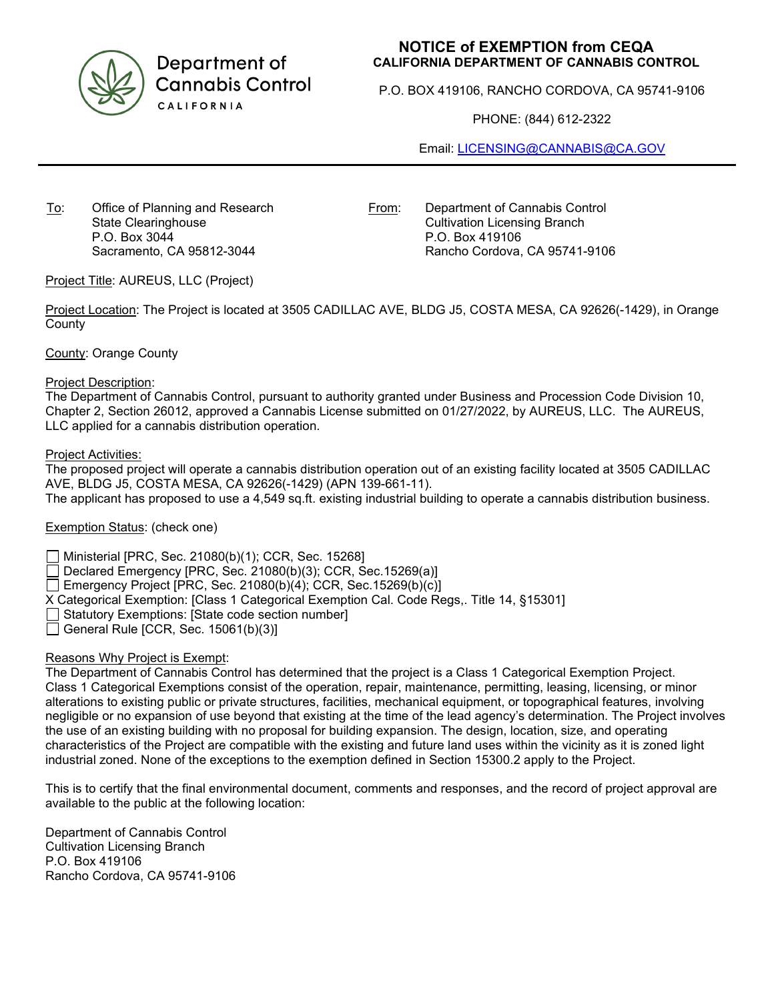

Department of **Cannabis Control** CALIFORNIA

## **NOTICE of EXEMPTION from CEQA CALIFORNIA DEPARTMENT OF CANNABIS CONTROL**

P.O. BOX 419106, RANCHO CORDOVA, CA 95741-9106

PHONE: (844) 612-2322

Email: [LICENSING@CANNABIS@CA.GOV](mailto:LICENSING@CANNABIS@CA.GOV)

To: Office of Planning and Research State Clearinghouse P.O. Box 3044 Sacramento, CA 95812-3044

From: Department of Cannabis Control Cultivation Licensing Branch P.O. Box 419106 Rancho Cordova, CA 95741-9106

Project Title: AUREUS, LLC (Project)

Project Location: The Project is located at 3505 CADILLAC AVE, BLDG J5, COSTA MESA, CA 92626(-1429), in Orange **County** 

County: Orange County

## Project Description:

The Department of Cannabis Control, pursuant to authority granted under Business and Procession Code Division 10, Chapter 2, Section 26012, approved a Cannabis License submitted on 01/27/2022, by AUREUS, LLC. The AUREUS, LLC applied for a cannabis distribution operation.

Project Activities:

The proposed project will operate a cannabis distribution operation out of an existing facility located at 3505 CADILLAC AVE, BLDG J5, COSTA MESA, CA 92626(-1429) (APN 139-661-11). The applicant has proposed to use a 4,549 sq.ft. existing industrial building to operate a cannabis distribution business.

Exemption Status: (check one)

Ministerial [PRC, Sec. 21080(b)(1); CCR, Sec. 15268]

Declared Emergency [PRC, Sec. 21080(b)(3); CCR, Sec.15269(a)]

Emergency Project [PRC, Sec. 21080(b)(4); CCR, Sec. 15269(b)(c)]

X Categorical Exemption: [Class 1 Categorical Exemption Cal. Code Regs,. Title 14, §15301]

 $\Box$  Statutory Exemptions: [State code section number]

General Rule [CCR, Sec.  $15061(b)(3)$ ]

## Reasons Why Project is Exempt:

The Department of Cannabis Control has determined that the project is a Class 1 Categorical Exemption Project. Class 1 Categorical Exemptions consist of the operation, repair, maintenance, permitting, leasing, licensing, or minor alterations to existing public or private structures, facilities, mechanical equipment, or topographical features, involving negligible or no expansion of use beyond that existing at the time of the lead agency's determination. The Project involves the use of an existing building with no proposal for building expansion. The design, location, size, and operating characteristics of the Project are compatible with the existing and future land uses within the vicinity as it is zoned light industrial zoned. None of the exceptions to the exemption defined in Section 15300.2 apply to the Project.

This is to certify that the final environmental document, comments and responses, and the record of project approval are available to the public at the following location:

Department of Cannabis Control Cultivation Licensing Branch P.O. Box 419106 Rancho Cordova, CA 95741-9106